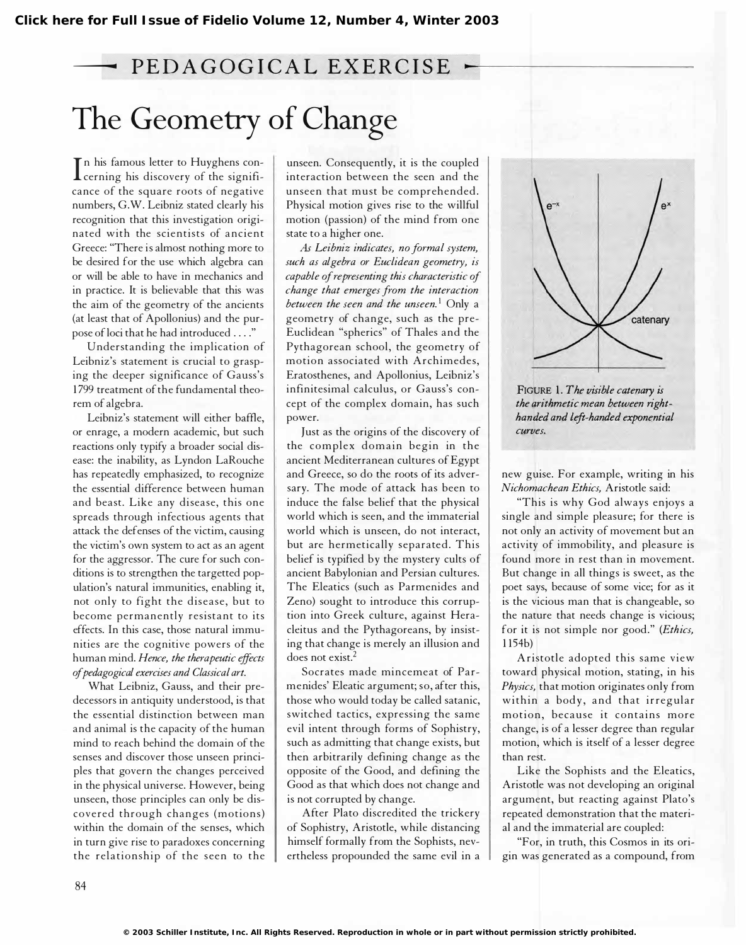## PEDAGOGICAL EXERCISE The Geometry of Change

In this famous letter to Tuygnens conn his famous letter to Huyghens concance of the square roots of negative numbers, G.W. Leibniz stated clearly his recognition that this investigation originated with the scientists of ancient Greece: "There is almost nothing more to be desired for the use which algebra can or will be able to have in mechanics and in practice. It is believable that this was the aim of the geometry of the ancients (at least that of Apollonius) and the purpose of loci that he had introduced .... "

Understanding the implication of Leibniz's statement is crucial to grasping the deeper significance of Gauss's 1 799 treatment of the fundamental theorem of algebra.

Leibniz's statement will either baffle, or enrage, a modern academic, but such reactions only typify a broader social disease: the inability, as Lyndon LaRouche has repeatedly emphasized, to recognize the essential difference between human and beast. Like any disease, this one spreads through infectious agents that attack the defenses of the victim, causing the victim's own system to act as an agent for the aggressor. The cure for such conditions is to strengthen the targetted population's natural immunities, enabling it, not only to fight the disease, but to become permanently resistant to its effects. In this case, those natural immunities are the cognitive powers of the human mind. Hence, the therapeutic effects of pedagogical exercises and Classical art.

What Leibniz, Gauss, and their predecessors in antiquity understood, is that the essential distinction between man and animal is the capacity of the human mind to reach behind the domain of the senses and discover those unseen principles that govern the changes perceived in the physical universe. However, being unseen, those principles can only be discovered through changes (motions) within the domain of the senses, which in turn give rise to paradoxes concerning the relationship of the seen to the

unseen. Consequently, it is the coupled interaction between the seen and the unseen that must be comprehended. Physical motion gives rise to the willful motion (passion) of the mind from one state to a higher one.

As Leibniz indicates, no formal system, such as algebra or Euclidean geometry, is capable of representing this characteristic of change that emerges from the interaction between the seen and the unseen.<sup>1</sup> Only a geometry of change, such as the pre-Euclidean "spherics" of Thales and the Pythagorean school, the geometry of motion associated with Archimedes, Eratosthenes, and Apollonius, Leibniz's infinitesimal calculus, or Gauss's concept of the complex domain, has such power.

Just as the origins of the discovery of the complex domain begin in the ancient Mediterranean cultures of Egypt and Greece, so do the roots of its adversary. The mode of attack has been to induce the false belief that the physical world which is seen, and the immaterial world which is unseen, do not interact, but are hermetically separated. This belief is typified by the mystery cults of ancient Babylonian and Persian cultures. The Eleatics (such as Parmenides and Zeno) sought to introduce this corruption into Greek culture, against Heracleitus and the Pythagoreans, by insisting that change is merely an illusion and does not exist.<sup>2</sup>

Socrates made mincemeat of Parmenides' Eleatic argument; so, after this, those who would today be called satanic, switched tactics, expressing the same evil intent through forms of Sophistry, such as admitting that change exists, but then arbitrarily defining change as the opposite of the Good, and defining the Good as that which does not change and is not corrupted by change.

After Plato discredited the trickery of Sophistry, Aristotle, while distancing himself formally from the Sophists, nevertheless propounded the same evil in a



FIGURE 1. The visible catenary is the arithmetic mean between righthanded and left-handed exponential curves.

new guise. For example, writing in his Nichomachean Ethics, Aristotle said:

"This is why God always enjoys a single and simple pleasure; for there is not only an activity of movement but an activity of immobility, and pleasure is found more in rest than in movement. But change in all things is sweet, as the poet says, because of some vice; for as it is the vicious man that is changeable, so the nature that needs change is vicious; for it is not simple nor good." (Ethics, 1 1 54b)

Aristotle adopted this same view toward physical motion, stating, in his Physics, that motion originates only from within a body, and that irregular motion, because it contains more change, is of a lesser degree than regular motion, which is itself of a lesser degree than rest.

Like the Sophists and the Eleatics, Aristotle was not developing an original argument, but reacting against Plato's repeated demonstration that the material and the immaterial are coupled:

"For, in truth, this Cosmos in its origin was generated as a compound, from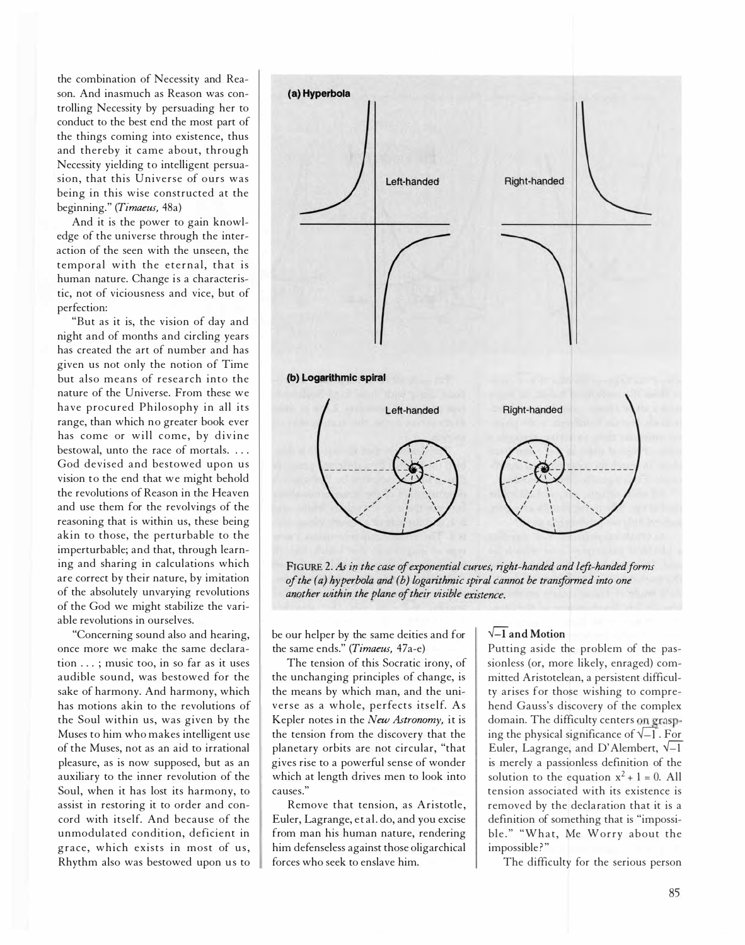the combination of Necessity and Reason. And inasmuch as Reason was controlling Necessity by persuading her to conduct to the best end the most part of the things coming into existence, thus and thereby it came about, through Necessity yielding to intelligent persuasion, that this Universe of ours was being in this wise constructed at the beginning." (Timaeus, 48a)

And it is the power to gain knowledge of the universe through the interaction of the seen with the unseen, the temporal with the eternal, that is human nature. Change is a characteristic, not of viciousness and vice, but of perfection:

"But as it is, the vision of day and night and of months and circling years has created the art of number and has given us not only the notion of Time but also means of research into the nature of the Universe. From these we have procured Philosophy in all its range, than which no greater book ever has come or will come, by divine bestowal, unto the race of mortals. . . . God devised and bestowed upon us vision to the end that we might behold the revolutions of Reason in the Heaven and use them for the revolvings of the reasoning that is within us, these being akin to those, the perturbable to the imperturbable; and that, through learning and sharing in calculations which are correct by their nature, by imitation of the absolutely unvarying revolutions of the God we might stabilize the variable revolutions in ourselves.

"Concerning sound also and hearing, once more we make the same declaration ... ; music too, in so far as it uses audible sound, was bestowed for the sake of harmony. And harmony, which has motions akin to the revolutions of the Soul within us, was given by the Muses to him who makes intelligent use of the Muses, not as an aid to irrational pleasure, as is now supposed, but as an auxiliary to the inner revolution of the Soul, when it has lost its harmony, to assist in restoring it to order and concord with itself. And because of the unmodulated condition, deficient in grace, which exists in most of us, Rhythm also was bestowed upon us to



FIGURE 2. As in the case of exponential curves, right-handed and left-handed forms of the (a) hyperbola and (b) logarithmic spiral cannot be transformed into one another within the plane of their visible existence.

be our helper by the same deities and for the same ends." (Timaeus, 47a-e)

The tension of this Socratic irony, of the unchanging principles of change, is the means by which man, and the universe as a whole, perfects itself. As Kepler notes in the New Astronomy, it is the tension from the discovery that the planetary orbits are not circular, "that gives rise to a powerful sense of wonder which at length drives men to look into causes."

Remove that tension, as Aristotle, Euler, Lagrange, et al. do, and you excise from man his human nature, rendering him defenseless against those oligarchical forces who seek to enslave him.

## $\sqrt{-1}$  and Motion

Putting aside the problem of the passionless (or, more likely, enraged) committed Aristotelean, a persistent difficulty arises for those wishing to comprehend Gauss's discovery of the complex domain. The difficulty centers on grasping the physical significance of  $\sqrt{-1}$ . For Euler, Lagrange, and D'Alembert,  $\sqrt{-1}$ is merely a passionless definition of the solution to the equation  $x^2 + 1 = 0$ . All tension associated with its existence is removed by the declaration that it is a definition of something that is "impossible ." "What, Me Worry about the impossible?"

The difficulty for the serious person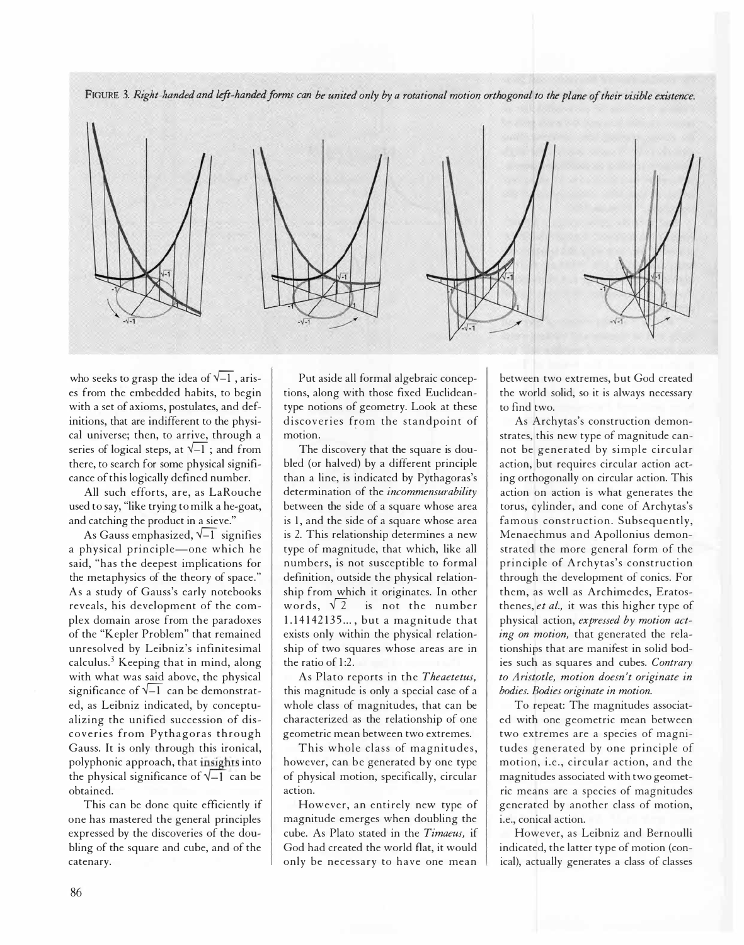FIGURE 3. Right-handed and left-handed forms can be united only by a rotational motion orthogonal to the plane of their visible existence.



who seeks to grasp the idea of  $\sqrt{-1}$ , arises from the embedded habits, to begin with a set of axioms, postulates, and definitions, that are indifferent to the physical universe; then, to arrive, through a series of logical steps, at  $\sqrt{-1}$ ; and from there, to search for some physical significance of this logically defined number.

All such efforts, are, as LaRouche used to say, "like trying to milk a he-goat, and catching the product in a sieve."

As Gauss emphasized,  $\sqrt{-1}$  signifies a physical principle-one which he said, "has the deepest implications for the metaphysics of the theory of space." As a study of Gauss's early notebooks reveals, his development of the complex domain arose from the paradoxes of the "Kepler Problem" that remained unresolved by Leibniz's infinitesimal calculus.3 Keeping that in mind, along with what was said above, the physical significance of  $\sqrt{-1}$  can be demonstrated, as Leibniz indicated, by conceptualizing the unified succession of discoveries from Pythagoras through Gauss. It is only through this ironical, polyphonic approach, that insights into the physical significance of  $\sqrt{-1}$  can be obtained.

This can be done quite efficiently if one has mastered the general principles expressed by the discoveries of the doubling of the square and cube, and of the catenary.

Put aside all formal algebraic conceptions, along with those fixed Euclideantype notions of geometry. Look at these discoveries from the standpoint of motion.

The discovery that the square is doubled (or halved) by a different principle than a line, is indicated by Pythagoras's determination of the incommensurability between the side of a square whose area is 1, and the side of a square whose area is 2. This relationship determines a new type of magnitude, that which, like all numbers, is not susceptible to formal definition, outside the physical relationship from which it originates. In other words,  $\sqrt{2}$  is not the number 1.14142135..., but a magnitude that exists only within the physical relationship of two squares whose areas are in the ratio of 1:2.

As Plato reports in the Theaetetus, this magnitude is only a special case of a whole class of magnitudes, that can be characterized as the relationship of one geometric mean between two extremes.

This whole class of magnitudes, however, can be generated by one type of physical motion, specifically, circular action.

However, an entirely new type of magnitude emerges when doubling the cube. As Plato stated in the Timaeus, if God had created the world flat, it would only be necessary to have one mean between two extremes, but God created the world solid, so it is always necessary to find two.

As Archytas's construction demonstrates, this new type of magnitude cannot be generated by simple circular action, but requires circular action acting orthogonally on circular action. This action on action is what generates the torus, cylinder, and cone of Archytas's famous construction. Subsequently, Menaechmus and Apollonius demonstrated the more general form of the principle of Archytas's construction through the development of conics. For them, as well as Archimedes, Eratosthenes, et al., it was this higher type of physical action, expressed by motion acting on motion, that generated the relationships that are manifest in solid bodies such as squares and cubes. Contrary to Aristotle, motion doesn't originate in bodies. Bodies originate in motion.

To repeat: The magnitudes associated with one geometric mean between two extremes are a species of magnitudes generated by one principle of motion, i.e., circular action, and the magnitudes associated with two geometric means are a species of magnitudes generated by another class of motion, i.e., conical action.

However, as Leibniz and Bernoulli indicated, the latter type of motion (conical), actually generates a class of classes